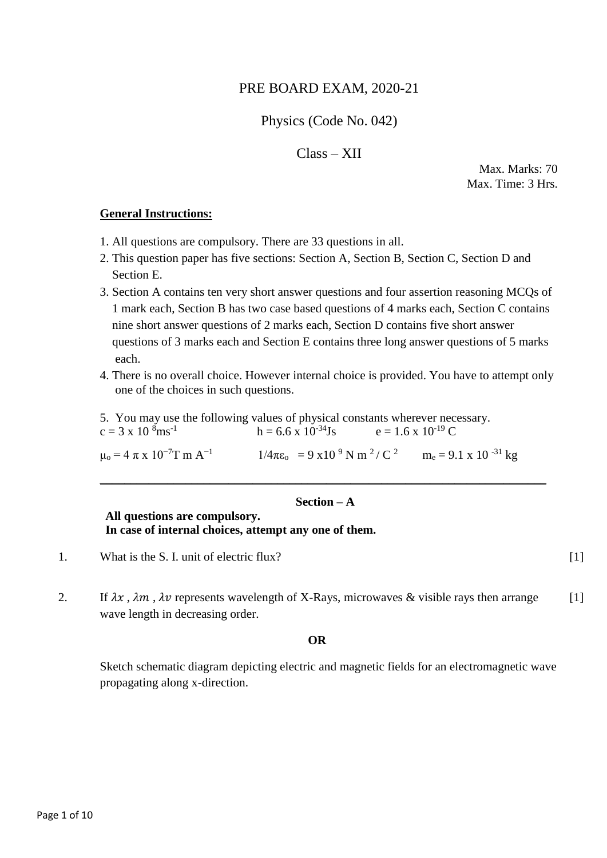# PRE BOARD EXAM, 2020-21

# Physics (Code No. 042)

## Class – XII

 Max. Marks: 70 Max. Time: 3 Hrs.

#### **General Instructions:**

- 1. All questions are compulsory. There are 33 questions in all.
- 2. This question paper has five sections: Section A, Section B, Section C, Section D and Section E.
- 3. Section A contains ten very short answer questions and four assertion reasoning MCQs of 1 mark each, Section B has two case based questions of 4 marks each, Section C contains nine short answer questions of 2 marks each, Section D contains five short answer questions of 3 marks each and Section E contains three long answer questions of 5 marks each.
- 4. There is no overall choice. However internal choice is provided. You have to attempt only one of the choices in such questions.
- 5. You may use the following values of physical constants wherever necessary.

| $c = 3 \times 10^{8}$ ms <sup>-1</sup>             | $h = 6.6 \times 10^{-34}$ Js                                   | $e = 1.6 \times 10^{-19} C$ |                                |
|----------------------------------------------------|----------------------------------------------------------------|-----------------------------|--------------------------------|
| $\mu_0 = 4 \pi \times 10^{-7}$ T m A <sup>-1</sup> | $1/4\pi\epsilon_0 = 9 \times 10^{-9} \text{ N m}^2/\text{C}^2$ |                             | $m_e = 9.1 \times 10^{-31} kg$ |

## **Section – A**

 $\_$  , and the set of the set of the set of the set of the set of the set of the set of the set of the set of the set of the set of the set of the set of the set of the set of the set of the set of the set of the set of th

#### **All questions are compulsory. In case of internal choices, attempt any one of them.**

- 1. What is the S. I. unit of electric flux? [1]
- 2. If  $\lambda x$ ,  $\lambda m$ ,  $\lambda v$  represents wavelength of X-Rays, microwaves & visible rays then arrange wave length in decreasing order. [1]

#### **OR**

Sketch schematic diagram depicting electric and magnetic fields for an electromagnetic wave propagating along x-direction.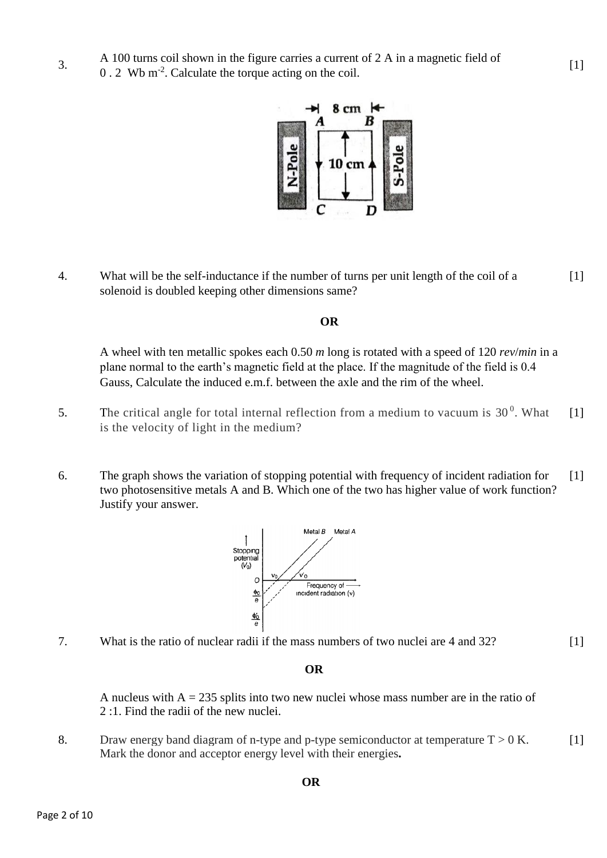0.2 Wb m<sup>-2</sup>. Calculate the torque acting on the coil.



4. What will be the self-inductance if the number of turns per unit length of the coil of a solenoid is doubled keeping other dimensions same? [1]

#### **OR**

A wheel with ten metallic spokes each 0.50 *m* long is rotated with a speed of 120 *rev*/*min* in a plane normal to the earth's magnetic field at the place. If the magnitude of the field is 0.4 Gauss, Calculate the induced e.m.f. between the axle and the rim of the wheel.

- 5. The critical angle for total internal reflection from a medium to vacuum is  $30<sup>0</sup>$ . What is the velocity of light in the medium? [1]
- 6. The graph shows the variation of stopping potential with frequency of incident radiation for two photosensitive metals A and B. Which one of the two has higher value of work function? Justify your answer. [1]



7. What is the ratio of nuclear radii if the mass numbers of two nuclei are 4 and 32?

 $[1]$ 

#### **OR**

A nucleus with  $A = 235$  splits into two new nuclei whose mass number are in the ratio of 2 :1. Find the radii of the new nuclei.

8. Draw energy band diagram of n-type and p-type semiconductor at temperature  $T > 0$  K. Mark the donor and acceptor energy level with their energies**.**   $[1]$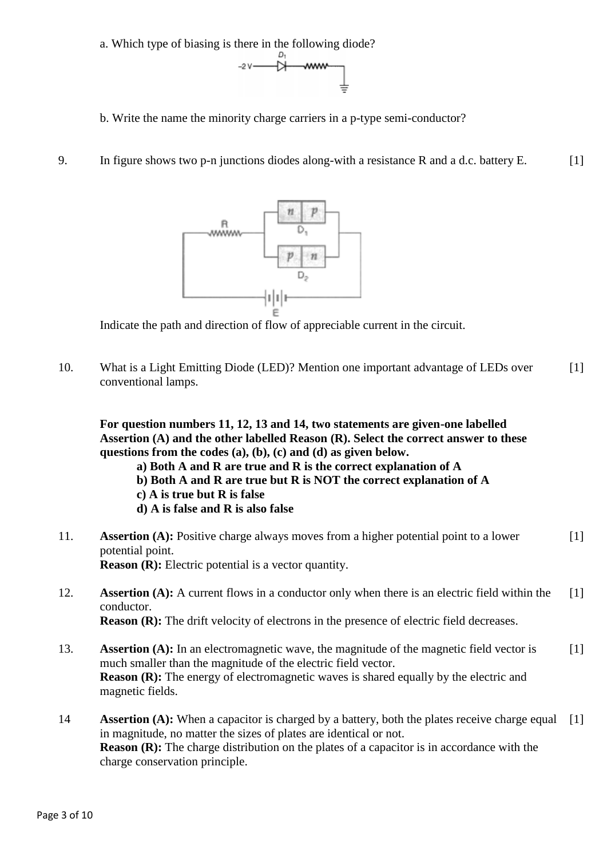a. Which type of biasing is there in the following diode?



- b. Write the name the minority charge carriers in a p-type semi-conductor?
- 9. In figure shows two p-n junctions diodes along-with a resistance R and a d.c. battery E. [1]



Indicate the path and direction of flow of appreciable current in the circuit.

10. What is a Light Emitting Diode (LED)? Mention one important advantage of LEDs over conventional lamps. [1]

**For question numbers 11, 12, 13 and 14, two statements are given-one labelled Assertion (A) and the other labelled Reason (R). Select the correct answer to these questions from the codes (a), (b), (c) and (d) as given below.** 

- **a) Both A and R are true and R is the correct explanation of A**
- **b) Both A and R are true but R is NOT the correct explanation of A**
- **c) A is true but R is false**
- **d) A is false and R is also false**
- 11. **Assertion (A):** Positive charge always moves from a higher potential point to a lower potential point. **Reason (R):** Electric potential is a vector quantity. [1]
- 12. **Assertion (A):** A current flows in a conductor only when there is an electric field within the conductor. **Reason (R):** The drift velocity of electrons in the presence of electric field decreases.  $[1]$
- 13. **Assertion (A):** In an electromagnetic wave, the magnitude of the magnetic field vector is much smaller than the magnitude of the electric field vector. **Reason (R):** The energy of electromagnetic waves is shared equally by the electric and magnetic fields. [1]
- 14 **Assertion (A):** When a capacitor is charged by a battery, both the plates receive charge equal in magnitude, no matter the sizes of plates are identical or not. **Reason (R):** The charge distribution on the plates of a capacitor is in accordance with the charge conservation principle.  $[1]$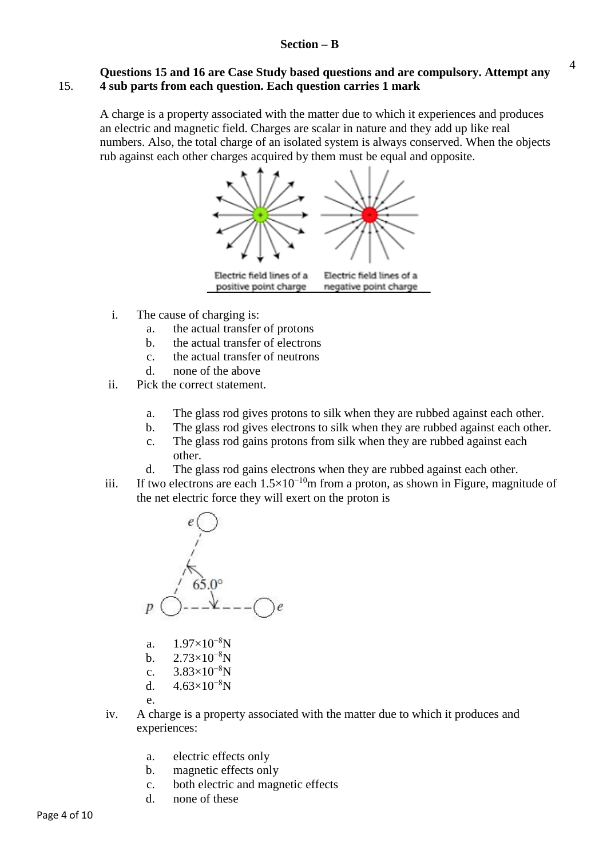#### **Section – B**

#### 15. **Questions 15 and 16 are Case Study based questions and are compulsory. Attempt any 4 sub parts from each question. Each question carries 1 mark**

A charge is a property associated with the matter due to which it experiences and produces an electric and magnetic field. Charges are scalar in nature and they add up like real numbers. Also, the total charge of an isolated system is always conserved. When the objects rub against each other charges acquired by them must be equal and opposite.



- i. The cause of charging is:
	- a. the actual transfer of protons
	- b. the actual transfer of electrons
	- c. the actual transfer of neutrons
	- d. none of the above
- ii. Pick the correct statement.
	- a. The glass rod gives protons to silk when they are rubbed against each other.
	- b. The glass rod gives electrons to silk when they are rubbed against each other.
	- c. The glass rod gains protons from silk when they are rubbed against each other.
	- d. The glass rod gains electrons when they are rubbed against each other.
- iii. If two electrons are each  $1.5\times10^{-10}$ m from a proton, as shown in Figure, magnitude of the net electric force they will exert on the proton is



- a.  $1.97\times10^{-8}$ N
- b.  $2.73\times10^{-8}$ N
- c.  $3.83\times10^{-8}$ N
- d.  $4.63\times10^{-8}$ N

e.

- iv. A charge is a property associated with the matter due to which it produces and experiences:
	- a. electric effects only
	- b. magnetic effects only
	- c. both electric and magnetic effects
	- d. none of these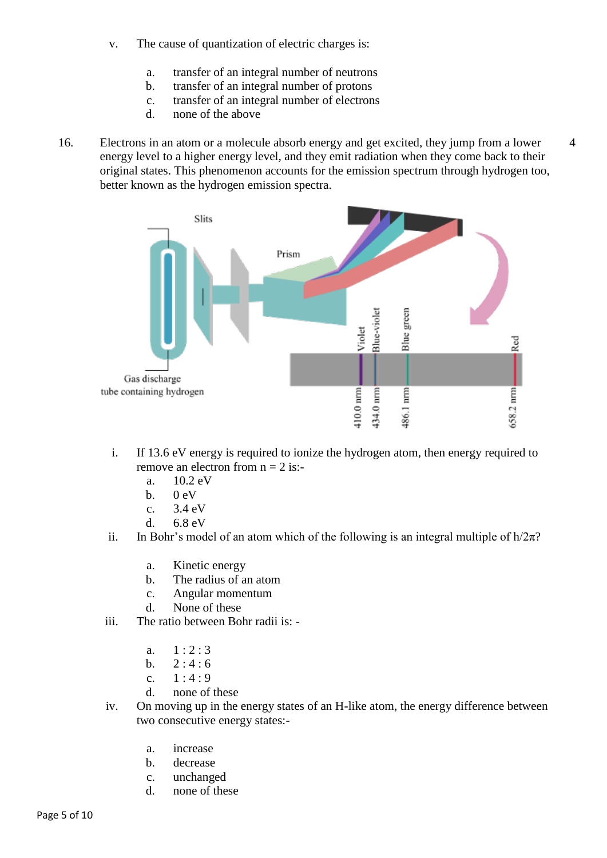- v. The cause of quantization of electric charges is:
	- a. transfer of an integral number of neutrons
	- b. transfer of an integral number of protons
	- c. transfer of an integral number of electrons
	- d. none of the above
- 16. Electrons in an atom or a molecule absorb energy and get excited, they jump from a lower energy level to a higher energy level, and they emit radiation when they come back to their original states. This phenomenon accounts for the emission spectrum through hydrogen too, better known as the hydrogen emission spectra.

4



- i. If 13.6 eV energy is required to ionize the hydrogen atom, then energy required to remove an electron from  $n = 2$  is:
	- a. 10.2 eV
	- b.  $0 \text{ eV}$
	- c. 3.4 eV
	- d. 6.8 eV
- ii. In Bohr's model of an atom which of the following is an integral multiple of  $h/2\pi$ ?
	- a. Kinetic energy
	- b. The radius of an atom
	- c. Angular momentum
	- d. None of these
- iii. The ratio between Bohr radii is:
	- a.  $1:2:3$
	- b.  $2:4:6$
	- c.  $1 : 4 : 9$
	- d. none of these
- iv. On moving up in the energy states of an H-like atom, the energy difference between two consecutive energy states:
	- a. increase
	- b. decrease
	- c. unchanged
	- d. none of these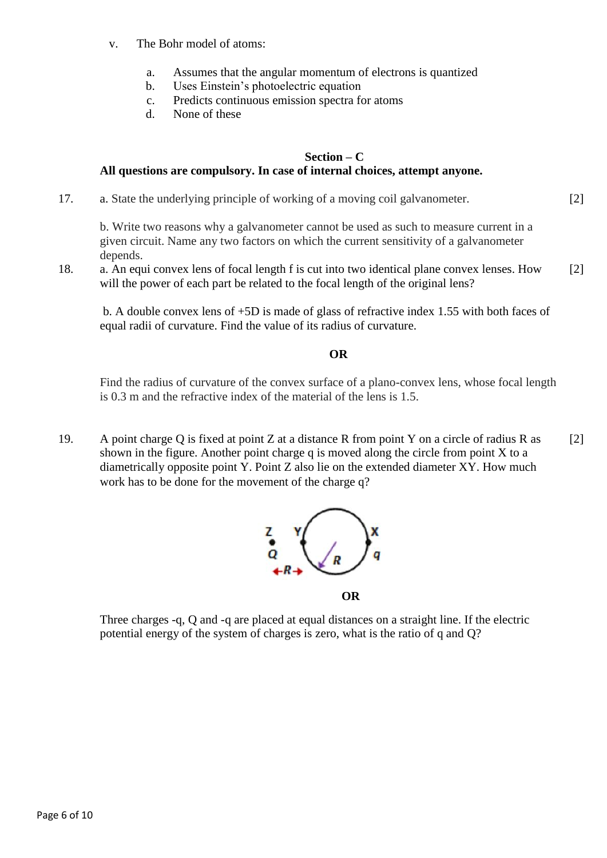- v. The Bohr model of atoms:
	- a. Assumes that the angular momentum of electrons is quantized
	- b. Uses Einstein's photoelectric equation
	- c. Predicts continuous emission spectra for atoms
	- d. None of these

### **Section – C All questions are compulsory. In case of internal choices, attempt anyone.**

17. a. State the underlying principle of working of a moving coil galvanometer.

b. Write two reasons why a galvanometer cannot be used as such to measure current in a given circuit. Name any two factors on which the current sensitivity of a galvanometer depends.

[2]

18. a. An equi convex lens of focal length f is cut into two identical plane convex lenses. How will the power of each part be related to the focal length of the original lens? [2]

b. A double convex lens of +5D is made of glass of refractive index 1.55 with both faces of equal radii of curvature. Find the value of its radius of curvature.

#### *OR*

Find the radius of curvature of the convex surface of a plano-convex lens, whose focal length is 0.3 m and the refractive index of the material of the lens is 1.5.

19. A point charge Q is fixed at point Z at a distance R from point Y on a circle of radius R as shown in the figure. Another point charge q is moved along the circle from point  $X$  to a diametrically opposite point Y. Point Z also lie on the extended diameter XY. How much work has to be done for the movement of the charge q? [2]



Three charges -q, Q and -q are placed at equal distances on a straight line. If the electric potential energy of the system of charges is zero, what is the ratio of q and Q?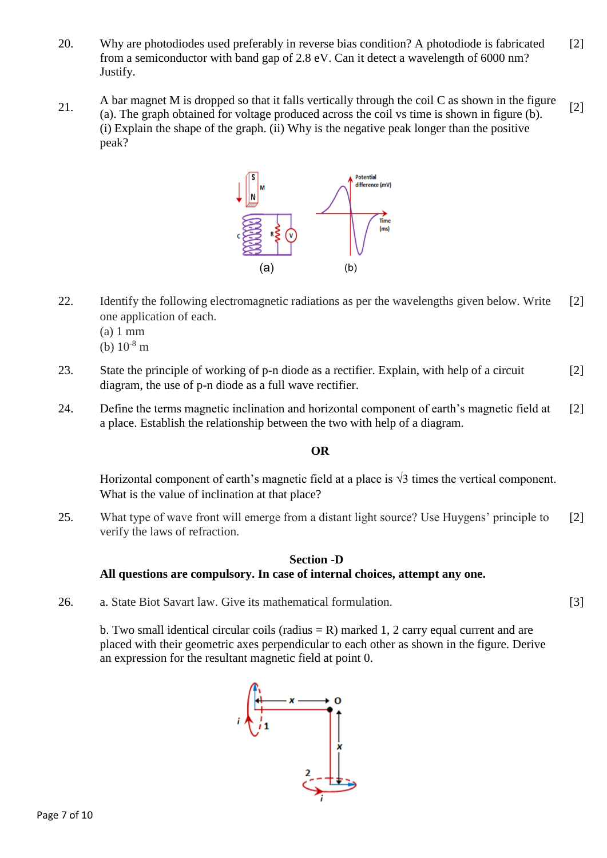- 20. Why are photodiodes used preferably in reverse bias condition? A photodiode is fabricated from a semiconductor with band gap of 2.8 eV. Can it detect a wavelength of 6000 nm? Justify. [2]
- 21. A bar magnet M is dropped so that it falls vertically through the coil C as shown in the figure (a). The graph obtained for voltage produced across the coil vs time is shown in figure (b). (i) Explain the shape of the graph. (ii) Why is the negative peak longer than the positive peak? [2]



- 22. Identify the following electromagnetic radiations as per the wavelengths given below. Write one application of each. [2]
	- (a) 1 mm
	- (b)  $10^{-8}$  m
- 23. State the principle of working of p-n diode as a rectifier. Explain, with help of a circuit diagram, the use of p-n diode as a full wave rectifier. [2]
- 24. Define the terms magnetic inclination and horizontal component of earth's magnetic field at a place. Establish the relationship between the two with help of a diagram. [2]

## **OR**

Horizontal component of earth's magnetic field at a place is  $\sqrt{3}$  times the vertical component. What is the value of inclination at that place?

25. What type of wave front will emerge from a distant light source? Use Huygens' principle to verify the laws of refraction. [2]

#### **Section -D All questions are compulsory. In case of internal choices, attempt any one.**

26. a. State Biot Savart law. Give its mathematical formulation.

b. Two small identical circular coils (radius  $= R$ ) marked 1, 2 carry equal current and are placed with their geometric axes perpendicular to each other as shown in the figure. Derive an expression for the resultant magnetic field at point 0.

[3]

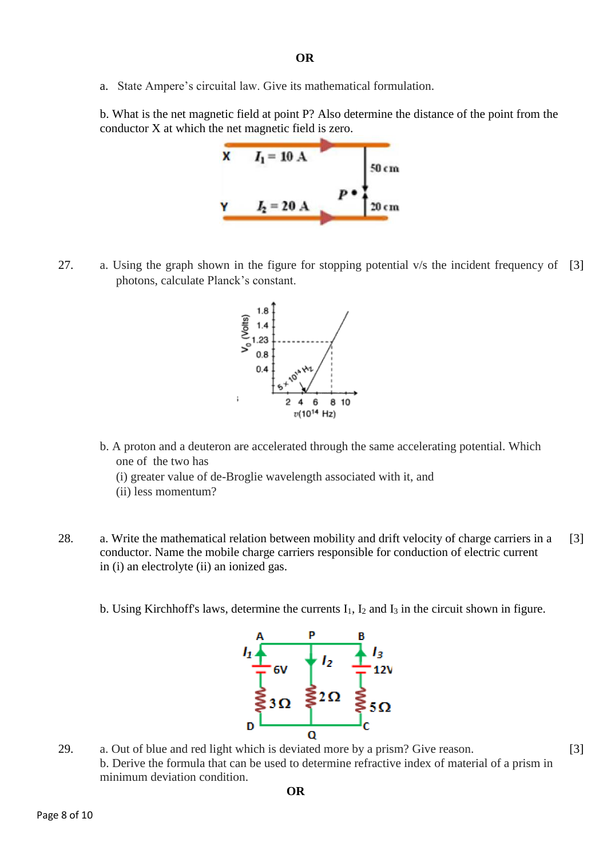a. State Ampere's circuital law. Give its mathematical formulation.

b. What is the net magnetic field at point P? Also determine the distance of the point from the conductor X at which the net magnetic field is zero.



27. a. Using the graph shown in the figure for stopping potential v/s the incident frequency of [3] photons, calculate Planck's constant.



- b. A proton and a deuteron are accelerated through the same accelerating potential. Which one of the two has
	- (i) greater value of de-Broglie wavelength associated with it, and
	- (ii) less momentum?
- 28. a. Write the mathematical relation between mobility and drift velocity of charge carriers in a conductor. Name the mobile charge carriers responsible for conduction of electric current in (i) an electrolyte (ii) an ionized gas. [3]
	- b. Using Kirchhoff's laws, determine the currents  $I_1$ ,  $I_2$  and  $I_3$  in the circuit shown in figure.



29. a. Out of blue and red light which is deviated more by a prism? Give reason. b. Derive the formula that can be used to determine refractive index of material of a prism in minimum deviation condition.

[3]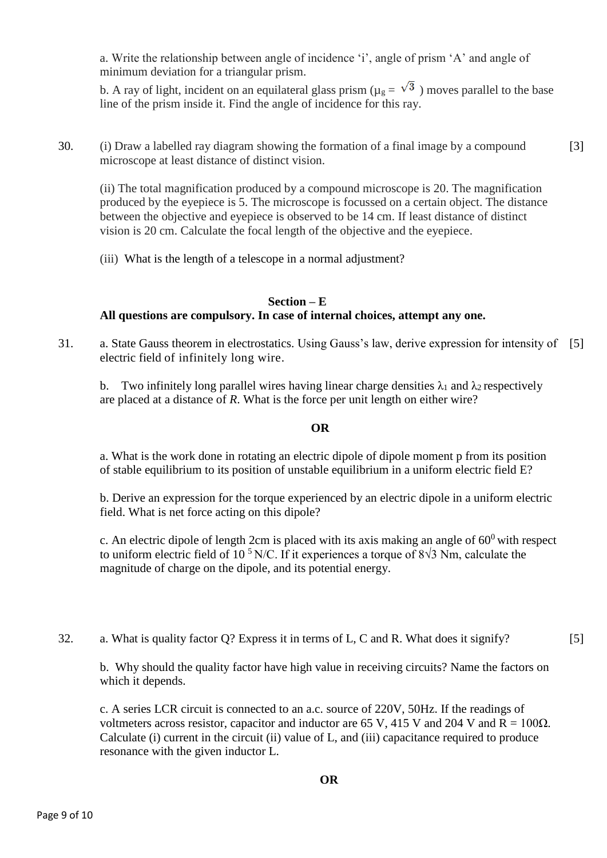a. Write the relationship between angle of incidence 'i', angle of prism 'A' and angle of minimum deviation for a triangular prism.

b. A ray of light, incident on an equilateral glass prism ( $\mu$ <sub>g</sub> =  $\sqrt{3}$ ) moves parallel to the base line of the prism inside it. Find the angle of incidence for this ray.

30. (i) Draw a labelled ray diagram showing the formation of a final image by a compound microscope at least distance of distinct vision. [3]

(ii) The total magnification produced by a compound microscope is 20. The magnification produced by the eyepiece is 5. The microscope is focussed on a certain object. The distance between the objective and eyepiece is observed to be 14 cm. If least distance of distinct vision is 20 cm. Calculate the focal length of the objective and the eyepiece.

(iii) What is the length of a telescope in a normal adjustment?

#### **Section – E All questions are compulsory. In case of internal choices, attempt any one.**

31. a. State Gauss theorem in electrostatics. Using Gauss's law, derive expression for intensity of [5] electric field of infinitely long wire.

b. Two infinitely long parallel wires having linear charge densities  $\lambda_1$  and  $\lambda_2$  respectively are placed at a distance of *R*. What is the force per unit length on either wire?

#### **OR**

a. What is the work done in rotating an electric dipole of dipole moment p from its position of stable equilibrium to its position of unstable equilibrium in a uniform electric field E?

b. Derive an expression for the torque experienced by an electric dipole in a uniform electric field. What is net force acting on this dipole?

c. An electric dipole of length 2cm is placed with its axis making an angle of  $60^0$  with respect to uniform electric field of 10<sup>5</sup>N/C. If it experiences a torque of  $8\sqrt{3}$  Nm, calculate the magnitude of charge on the dipole, and its potential energy.

32. a. What is quality factor Q? Express it in terms of L, C and R. What does it signify?

[5]

b. Why should the quality factor have high value in receiving circuits? Name the factors on which it depends.

c. A series LCR circuit is connected to an a.c. source of 220V, 50Hz. If the readings of voltmeters across resistor, capacitor and inductor are 65 V, 415 V and 204 V and  $R = 100\Omega$ . Calculate (i) current in the circuit (ii) value of L, and (iii) capacitance required to produce resonance with the given inductor L.